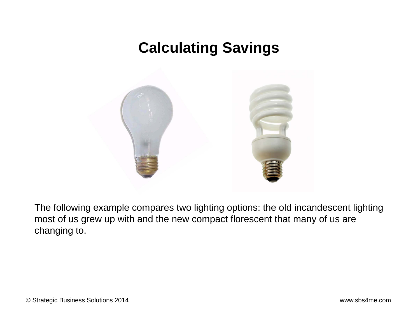## **Calculating Savings**



The following example compares two lighting options: the old incandescent lighting most of us grew up with and the new compact florescent that many of us are changing to.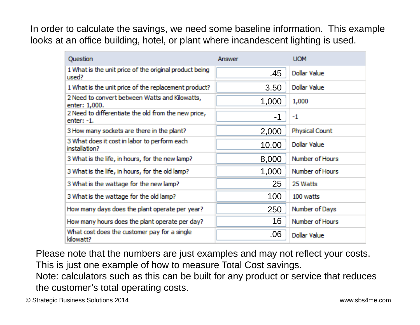In order to calculate the savings, we need some baseline information. This example looks at an office building, hotel, or plant where incandescent lighting is used.

| Question                                                            | <b>Answer</b> | <b>UOM</b>            |
|---------------------------------------------------------------------|---------------|-----------------------|
| 1 What is the unit price of the original product being<br>used?     | .45           | Dollar Value          |
| 1 What is the unit price of the replacement product?                | 3.50          | Dollar Value          |
| 2 Need to convert between Watts and Kilowatts,<br>enter: 1,000.     | 1,000         | 1,000                 |
| 2 Need to differentiate the old from the new price,<br>$enter: -1.$ | $-1$          | $-1$                  |
| 3 How many sockets are there in the plant?                          | 2,000         | <b>Physical Count</b> |
| 3 What does it cost in labor to perform each<br>installation?       | 10.00         | Dollar Value          |
| 3 What is the life, in hours, for the new lamp?                     | 8,000         | Number of Hours       |
| 3 What is the life, in hours, for the old lamp?                     | 1,000         | Number of Hours       |
| 3 What is the wattage for the new lamp?                             | 25            | 25 Watts              |
| 3 What is the wattage for the old lamp?                             | 100           | 100 watts             |
| How many days does the plant operate per year?                      | 250           | Number of Days        |
| How many hours does the plant operate per day?                      | 16            | Number of Hours       |
| What cost does the customer pay for a single<br>kilowatt?           | .06           | <b>Dollar Value</b>   |

Please note that the numbers are just examples and may not reflect your costs. This is just one example of how to measure Total Cost savings.

Note: calculators such as this can be built for any product or service that reduces the customer's total operating costs.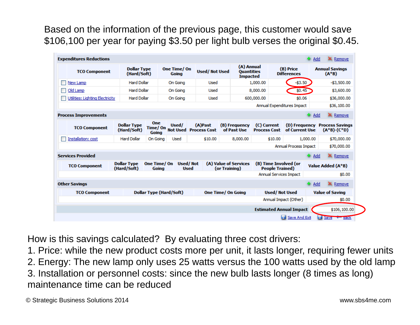Based on the information of the previous page, this customer would save \$106,100 per year for paying \$3.50 per light bulb verses the original \$0.45.

| <b>Expenditures Reductions</b>  |                                   |                         |                      |                                           |               |                                                    |                                                 |                                 | <b>Add</b>   | <b>X</b> Remove                         |
|---------------------------------|-----------------------------------|-------------------------|----------------------|-------------------------------------------|---------------|----------------------------------------------------|-------------------------------------------------|---------------------------------|--------------|-----------------------------------------|
| <b>TCO Component</b>            | <b>Dollar Type</b><br>(Hard/Soft) |                         | One Time/On<br>Going | <b>Used/Not Used</b>                      |               | (A) Annual<br><b>Quantities</b><br><b>Impacted</b> |                                                 | (B) Price<br><b>Differences</b> |              | <b>Annual Savings</b><br>$(A^*B)$       |
| New Lamp                        | <b>Hard Dollar</b>                |                         | On Goina             | Used                                      |               |                                                    | 1,000.00                                        | $-53.50$                        |              | $-53.500.00$                            |
| Old Lamp                        | <b>Hard Dollar</b>                |                         | On Goina             | Used                                      |               |                                                    | 8,000,00                                        | \$0.45                          |              | \$3,600.00                              |
| Utilities: Lighting Electricity | <b>Hard Dollar</b>                |                         | On Going             | Used                                      |               |                                                    | 600,000.00                                      | \$0.06                          |              | \$36,000.00                             |
|                                 |                                   |                         |                      |                                           |               |                                                    |                                                 | Annual Expenditures Impact      |              | \$36,100.00                             |
| <b>Process Improvements</b>     |                                   |                         |                      |                                           |               |                                                    |                                                 |                                 | <b>G</b> Add | X Remove                                |
| <b>TCO Component</b>            | <b>Dollar Type</b><br>(Hard/Soft) | <b>One</b><br>Going     | Used/                | (A)Past<br>Time/ On Not Used Process Cost |               | (B) Frequency<br>of Past Use                       | (C) Current<br><b>Process Cost</b>              | (D) Frequency<br>of Current Use |              | <b>Process Savings</b><br>$(A*B)-(C*D)$ |
| Installation: cost              | <b>Hard Dollar</b>                | On Goina                | Used                 | \$10.00                                   |               | 8,000.00                                           | \$10.00                                         |                                 | 1,000.00     | \$70,000.00                             |
|                                 |                                   |                         |                      |                                           |               |                                                    |                                                 | <b>Annual Process Impact</b>    |              | \$70,000.00                             |
| <b>Services Provided</b>        |                                   |                         |                      |                                           |               |                                                    |                                                 |                                 | <b>G</b> Add | X Remove                                |
| <b>TCO Component</b>            | <b>Dollar Type</b><br>(Hard/Soft) | One Time/ On<br>Goina   |                      | Used/Not<br><b>Used</b>                   | (or Training) | (A) Value of Services                              | (B) Time Involved (or<br><b>People Trained)</b> |                                 |              | Value Added (A*B)                       |
|                                 |                                   |                         |                      |                                           |               |                                                    |                                                 | <b>Annual Services Impact</b>   |              | \$0.00                                  |
| <b>Other Savings</b>            |                                   |                         |                      |                                           |               |                                                    |                                                 |                                 | Add          | <b>X</b> Remove                         |
| <b>TCO Component</b>            |                                   | Dollar Type (Hard/Soft) |                      |                                           |               | <b>One Time/ On Going</b>                          |                                                 | <b>Used/Not Used</b>            |              | <b>Value of Saving</b>                  |
|                                 |                                   |                         |                      |                                           |               |                                                    |                                                 | Annual Impact (Other)           |              | \$0.00                                  |
|                                 |                                   |                         |                      |                                           |               |                                                    |                                                 | <b>Estimated Annual Impact</b>  |              | \$106,100.00                            |
|                                 |                                   |                         |                      |                                           |               |                                                    |                                                 | Save And Exit                   |              | Save v Back                             |

How is this savings calculated? By evaluating three cost drivers:

1. Price: while the new product costs more per unit, it lasts longer, requiring fewer units

2. Energy: The new lamp only uses 25 watts versus the 100 watts used by the old lamp

3. Installation or personnel costs: since the new bulb lasts longer (8 times as long) maintenance time can be reduced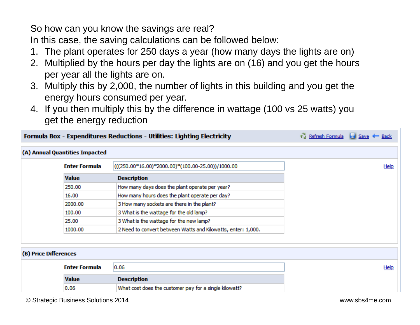So how can you know the savings are real?

In this case, the saving calculations can be followed below:

- 1. The plant operates for 250 days a year (how many days the lights are on)
- 2. Multiplied by the hours per day the lights are on (16) and you get the hours per year all the lights are on.
- 3. Multiply this by 2,000, the number of lights in this building and you get the energy hours consumed per year.
- 4. If you then multiply this by the difference in wattage (100 vs 25 watts) you get the energy reduction

|                       |                                | Formula Box - Expenditures Reductions - Utilities: Lighting Electricity | Refresh Formula del Save + Back |
|-----------------------|--------------------------------|-------------------------------------------------------------------------|---------------------------------|
|                       | (A) Annual Quantities Impacted |                                                                         |                                 |
|                       | <b>Enter Formula</b>           | (((250.00*16.00)*2000.00)*(100.00-25.00))/1000.00                       | Help                            |
|                       | <b>Value</b>                   | <b>Description</b>                                                      |                                 |
|                       | 250.00                         | How many days does the plant operate per year?                          |                                 |
|                       | 16.00                          | How many hours does the plant operate per day?                          |                                 |
|                       | 2000.00                        | 3 How many sockets are there in the plant?                              |                                 |
|                       | 100.00                         | 3 What is the wattage for the old lamp?                                 |                                 |
|                       | 25.00                          | 3 What is the wattage for the new lamp?                                 |                                 |
|                       | 1000.00                        | 2 Need to convert between Watts and Kilowatts, enter: 1,000.            |                                 |
|                       |                                |                                                                         |                                 |
| (B) Price Differences |                                |                                                                         |                                 |
|                       | <b>Enter Formula</b>           | 0.06                                                                    | Help                            |
|                       | <b>Value</b>                   | <b>Description</b>                                                      |                                 |
|                       | 0.06                           | What cost does the customer pay for a single kilowatt?                  |                                 |
|                       |                                |                                                                         |                                 |

© Strategic Business Solutions 2014 www.sbs4me.com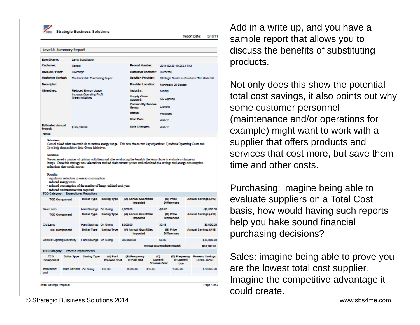Strategic Business Solutions

Report Date: 5/18/11

| <b>Event Name:</b>                                            |                                                                                                | Lamp Substitution                                                                                                |                                 |                                                                                                                                                                                                                                                |                            |                                       |                                 |  |                                                              |
|---------------------------------------------------------------|------------------------------------------------------------------------------------------------|------------------------------------------------------------------------------------------------------------------|---------------------------------|------------------------------------------------------------------------------------------------------------------------------------------------------------------------------------------------------------------------------------------------|----------------------------|---------------------------------------|---------------------------------|--|--------------------------------------------------------------|
| <b>Customer:</b>                                              | Consol                                                                                         |                                                                                                                  |                                 | Record Number:                                                                                                                                                                                                                                 |                            |                                       | 2011-02-25-10-2533-TIM          |  |                                                              |
| <b>Division / Plant:</b>                                      | Loveridge                                                                                      |                                                                                                                  |                                 | <b>Customer Contract:</b>                                                                                                                                                                                                                      |                            | (General)                             |                                 |  |                                                              |
| <b>Cuctomer Contact:</b>                                      |                                                                                                | Tim Underhill: Purchasing Super                                                                                  |                                 | <b>Solution Provider:</b>                                                                                                                                                                                                                      |                            |                                       |                                 |  | Strategic Business Solutions: Tim Underhill                  |
| Decoriptor:                                                   |                                                                                                |                                                                                                                  |                                 | <b>Provider Location:</b>                                                                                                                                                                                                                      |                            |                                       | Northeast: 29-Boston            |  |                                                              |
| Objectives:                                                   |                                                                                                | <b>Reduced Energy Usage</b>                                                                                      |                                 | Inductry:                                                                                                                                                                                                                                      |                            | Mining                                |                                 |  |                                                              |
|                                                               |                                                                                                | <b>Increase Operating Profit</b><br>Green Initiatives                                                            |                                 |                                                                                                                                                                                                                                                | <b>Supply Chain</b>        | <b>GE Lighting</b>                    |                                 |  |                                                              |
|                                                               |                                                                                                |                                                                                                                  |                                 | <b>Commodity Service</b><br>Group:                                                                                                                                                                                                             |                            | Lighting                              |                                 |  |                                                              |
|                                                               |                                                                                                |                                                                                                                  |                                 | Status:                                                                                                                                                                                                                                        |                            | Proposed                              |                                 |  |                                                              |
|                                                               |                                                                                                |                                                                                                                  |                                 | <b>Start Dato:</b>                                                                                                                                                                                                                             |                            | 2/25/11                               |                                 |  |                                                              |
| <b>Estimated Annual</b>                                       | \$106,100.00                                                                                   |                                                                                                                  |                                 | Date Changed:                                                                                                                                                                                                                                  |                            | 2/25/11                               |                                 |  |                                                              |
| Impact:<br><b>Notec</b>                                       |                                                                                                |                                                                                                                  |                                 |                                                                                                                                                                                                                                                |                            |                                       |                                 |  |                                                              |
| 2) to help them achieve their Green initiatives.<br>Solution: |                                                                                                |                                                                                                                  |                                 | We reviewed a number of options with them and after evaluating the benefits the team chose to evaluate a change in<br>lamps. Once this strategy was selected we audited their current system and calculated the savings and energy consumption |                            |                                       |                                 |  |                                                              |
| Results:                                                      | reductions that would accrue.<br>- reduced energy costs<br>- reduced maintenance time required | - significant reduction in energy consumption<br>- reduced consumption of the munber of lamps utilized each year |                                 |                                                                                                                                                                                                                                                |                            |                                       |                                 |  |                                                              |
|                                                               | TCO Category: Expenditures Reductions                                                          |                                                                                                                  |                                 |                                                                                                                                                                                                                                                |                            |                                       |                                 |  |                                                              |
| <b>TCO Component</b>                                          |                                                                                                |                                                                                                                  | Dollar Type Saving Type         | (A) Annual Quantities<br>Impacted                                                                                                                                                                                                              |                            |                                       | (B) Price<br><b>Differences</b> |  |                                                              |
|                                                               |                                                                                                | Hard Savings On Going                                                                                            |                                 | 1,000.00                                                                                                                                                                                                                                       |                            | $-53.50$                              |                                 |  |                                                              |
| <b>TCO Component</b>                                          |                                                                                                | Dollar Type Saving Type                                                                                          |                                 | (A) Annual Quantities<br><b>Impacted</b>                                                                                                                                                                                                       |                            |                                       | (B) Price<br><b>Differences</b> |  | Annual Savings (A*B)<br>$-53,500.00$<br>Annual Savings (A*B) |
|                                                               |                                                                                                | Hard Savings On Going                                                                                            |                                 | 8,000.00                                                                                                                                                                                                                                       |                            | \$0.45                                |                                 |  |                                                              |
| <b>TCO Component</b>                                          |                                                                                                | Dollar Type Saving Type                                                                                          |                                 | (A) Annual Quantities<br><b>Impacted</b>                                                                                                                                                                                                       |                            |                                       | (B) Price<br><b>Differences</b> |  |                                                              |
| New Lamp<br>Old Lamp<br>Utlities: Lighting Electricity        |                                                                                                | Hard Savings On Going                                                                                            |                                 | 600.000.00                                                                                                                                                                                                                                     |                            | \$0.06                                |                                 |  | \$3,600.00<br>Annual Savings (A*B)<br>\$36,000.00            |
|                                                               |                                                                                                |                                                                                                                  |                                 |                                                                                                                                                                                                                                                | Annual Expenditure Impact: |                                       |                                 |  | \$38,100.00                                                  |
|                                                               | TCO Category: Process Improvements                                                             |                                                                                                                  |                                 |                                                                                                                                                                                                                                                |                            |                                       |                                 |  |                                                              |
| <b>TCO</b><br>Component                                       |                                                                                                | Dollar Type Saving Type                                                                                          | (A) Pact<br><b>Process Cost</b> | (B) Frequency<br>of Pact Uce                                                                                                                                                                                                                   |                            | (C)<br>Current<br><b>Process Cost</b> | of Current<br>Use               |  | (D) Frequency Process Savings<br>$(A^*B) - (C^*D)$           |

Add in a write up, and you have a sample report that allows you to discuss the benefits of substituting products.

Not only does this show the potential total cost savings, it also points out why some customer personnel (maintenance and/or operations for example) might want to work with a supplier that offers products and services that cost more, but save them time and other costs.

Purchasing: imagine being able to evaluate suppliers on a Total Cost basis, how would having such reports help you hake sound financial purchasing decisions?

Sales: imagine being able to prove you are the lowest total cost supplier. Imagine the competitive advantage it could create.

© Strategic Business Solutions 2014 www.sbs4me.com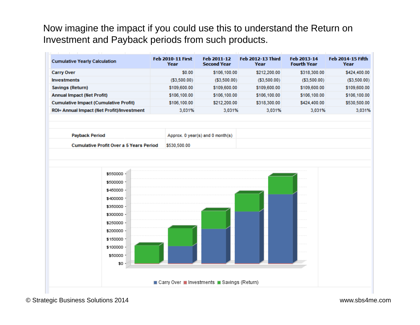Now imagine the impact if you could use this to understand the Return on Investment and Payback periods from such products.

| <b>Cumulative Yearly Calculation</b>                          | <b>Feb 2010-11 First</b><br>Year | Feb 2011-12<br><b>Second Year</b> | <b>Feb 2012-13 Third</b><br>Year | Feb 2013-14<br><b>Fourth Year</b> | Feb 2014-15 Fifth<br>Year |
|---------------------------------------------------------------|----------------------------------|-----------------------------------|----------------------------------|-----------------------------------|---------------------------|
| <b>Carry Over</b>                                             | \$0.00                           | \$106,100.00                      | \$212,200.00                     | \$318,300.00                      | \$424,400.00              |
| <b>Investments</b>                                            | ( \$3,500.00)                    | ( \$3,500.00)                     | ( \$3,500.00)                    | ( \$3,500.00)                     | ( \$3,500.00)             |
| Savings (Return)                                              | \$109,600.00                     | \$109,600.00                      | \$109,600.00                     | \$109,600.00                      | \$109,600.00              |
| <b>Annual Impact (Net Profit)</b>                             | \$106,100.00                     | \$106,100.00                      | \$106,100.00                     | \$106,100.00                      | \$106,100.00              |
| <b>Cumulative Impact (Cumulative Profit)</b>                  | \$106,100.00                     | \$212,200.00                      | \$318,300.00                     | \$424,400.00                      | \$530,500.00              |
| ROI= Annual Impact (Net Profit)/Investment                    | 3,031%                           | 3,031%                            | 3,031%                           | 3,031%                            | 3,031%                    |
| <b>Payback Period</b>                                         |                                  | Approx. 0 year(s) and 0 month(s)  |                                  |                                   |                           |
| <b>Cumulative Profit Over a 5 Years Period</b>                | \$530,500.00                     |                                   |                                  |                                   |                           |
| \$500000 -<br>\$450000 -                                      |                                  |                                   |                                  |                                   |                           |
| \$400000 -<br>\$350000 -<br>\$300000 -<br>\$250000 -          |                                  |                                   |                                  |                                   |                           |
| \$200000 -<br>\$150000 -<br>\$100000 -<br>\$50000 -<br>$$0 -$ |                                  |                                   |                                  |                                   |                           |

© Strategic Business Solutions 2014 www.sbs4me.com